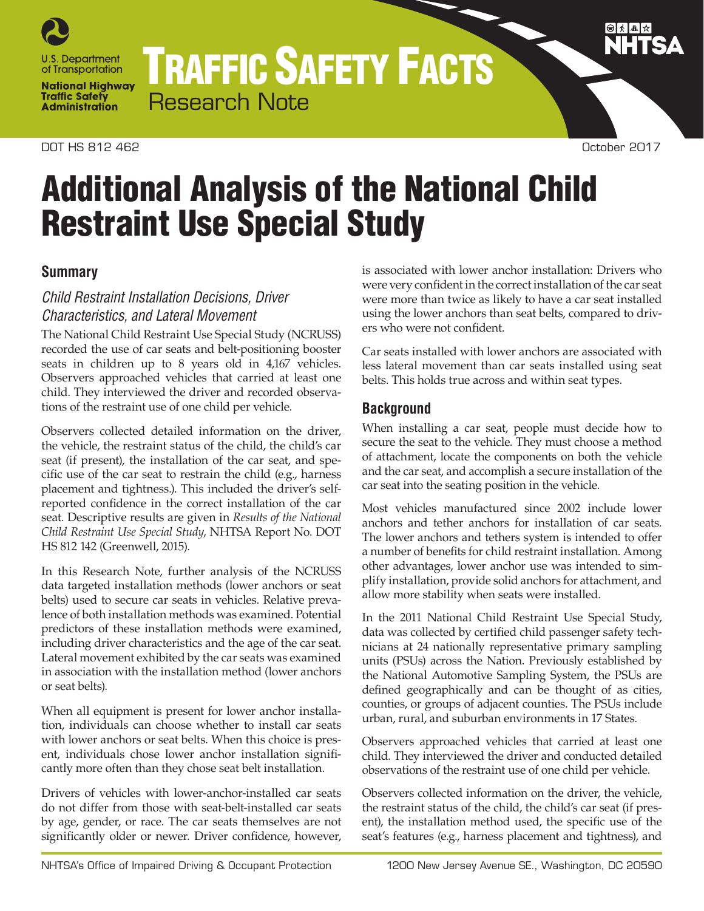

TRAFFIC SAFETY FACTS Research Note

#### DOT HS 812 462 October 2017

# Additional Analysis of the National Child Restraint Use Special Study

## **Summary**

## *Child Restraint Installation Decisions, Driver Characteristics, and Lateral Movement*

The National Child Restraint Use Special Study (NCRUSS) recorded the use of car seats and belt-positioning booster seats in children up to 8 years old in 4,167 vehicles. Observers approached vehicles that carried at least one child. They interviewed the driver and recorded observations of the restraint use of one child per vehicle.

Observers collected detailed information on the driver, the vehicle, the restraint status of the child, the child's car seat (if present), the installation of the car seat, and specific use of the car seat to restrain the child (e.g., harness placement and tightness.). This included the driver's selfreported confidence in the correct installation of the car seat. Descriptive results are given in *Results of the National Child Restraint Use Special Study*, NHTSA Report No. DOT HS 812 142 (Greenwell, 2015).

In this Research Note, further analysis of the NCRUSS data targeted installation methods (lower anchors or seat belts) used to secure car seats in vehicles. Relative prevalence of both installation methods was examined. Potential predictors of these installation methods were examined, including driver characteristics and the age of the car seat. Lateral movement exhibited by the car seats was examined in association with the installation method (lower anchors or seat belts).

When all equipment is present for lower anchor installation, individuals can choose whether to install car seats with lower anchors or seat belts. When this choice is present, individuals chose lower anchor installation significantly more often than they chose seat belt installation.

Drivers of vehicles with lower-anchor-installed car seats do not differ from those with seat-belt-installed car seats by age, gender, or race. The car seats themselves are not significantly older or newer. Driver confidence, however, is associated with lower anchor installation: Drivers who were very confident in the correct installation of the car seat were more than twice as likely to have a car seat installed using the lower anchors than seat belts, compared to drivers who were not confident.

Car seats installed with lower anchors are associated with less lateral movement than car seats installed using seat belts. This holds true across and within seat types.

## **Background**

When installing a car seat, people must decide how to secure the seat to the vehicle. They must choose a method of attachment, locate the components on both the vehicle and the car seat, and accomplish a secure installation of the car seat into the seating position in the vehicle.

Most vehicles manufactured since 2002 include lower anchors and tether anchors for installation of car seats. The lower anchors and tethers system is intended to offer a number of benefits for child restraint installation. Among other advantages, lower anchor use was intended to simplify installation, provide solid anchors for attachment, and allow more stability when seats were installed.

In the 2011 National Child Restraint Use Special Study, data was collected by certified child passenger safety technicians at 24 nationally representative primary sampling units (PSUs) across the Nation. Previously established by the National Automotive Sampling System, the PSUs are defined geographically and can be thought of as cities, counties, or groups of adjacent counties. The PSUs include urban, rural, and suburban environments in 17 States.

Observers approached vehicles that carried at least one child. They interviewed the driver and conducted detailed observations of the restraint use of one child per vehicle.

Observers collected information on the driver, the vehicle, the restraint status of the child, the child's car seat (if present), the installation method used, the specific use of the seat's features (e.g., harness placement and tightness), and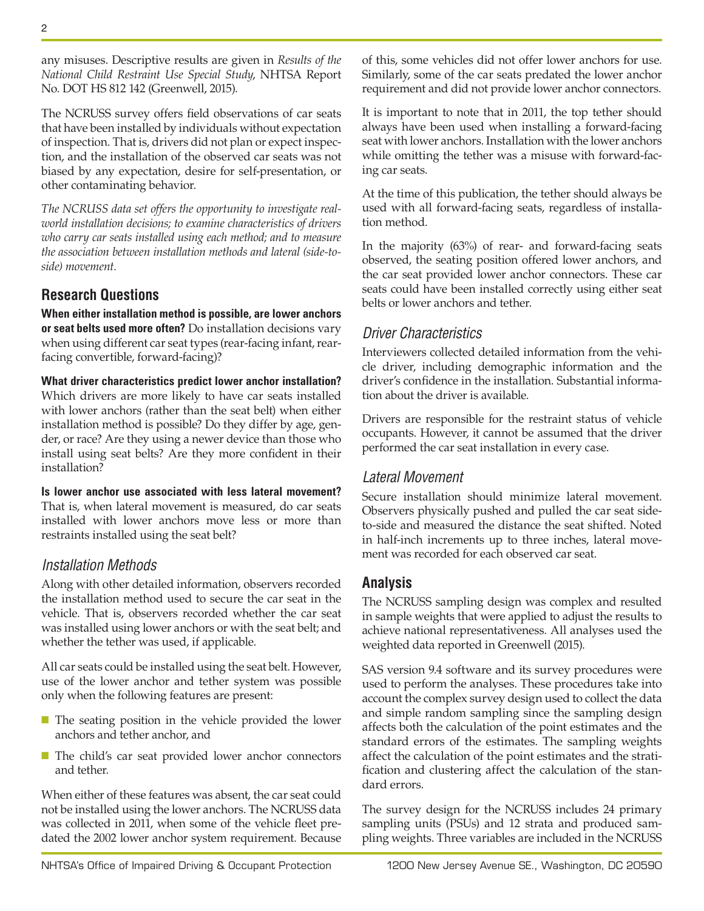$\mathfrak{p}$ 

any misuses. Descriptive results are given in *Results of the National Child Restraint Use Special Study*, NHTSA Report No. DOT HS 812 142 (Greenwell, 2015).

The NCRUSS survey offers field observations of car seats that have been installed by individuals without expectation of inspection. That is, drivers did not plan or expect inspection, and the installation of the observed car seats was not biased by any expectation, desire for self-presentation, or other contaminating behavior.

*The NCRUSS data set offers the opportunity to investigate realworld installation decisions; to examine characteristics of drivers who carry car seats installed using each method; and to measure the association between installation methods and lateral (side-toside) movement.*

# **Research Questions**

**When either installation method is possible, are lower anchors or seat belts used more often?** Do installation decisions vary when using different car seat types (rear-facing infant, rearfacing convertible, forward-facing)?

**What driver characteristics predict lower anchor installation?** Which drivers are more likely to have car seats installed with lower anchors (rather than the seat belt) when either installation method is possible? Do they differ by age, gender, or race? Are they using a newer device than those who install using seat belts? Are they more confident in their installation?

**Is lower anchor use associated with less lateral movement?** That is, when lateral movement is measured, do car seats installed with lower anchors move less or more than restraints installed using the seat belt?

# *Installation Methods*

Along with other detailed information, observers recorded the installation method used to secure the car seat in the vehicle. That is, observers recorded whether the car seat was installed using lower anchors or with the seat belt; and whether the tether was used, if applicable.

All car seats could be installed using the seat belt. However, use of the lower anchor and tether system was possible only when the following features are present:

- The seating position in the vehicle provided the lower anchors and tether anchor, and
- The child's car seat provided lower anchor connectors and tether.

When either of these features was absent, the car seat could not be installed using the lower anchors. The NCRUSS data was collected in 2011, when some of the vehicle fleet predated the 2002 lower anchor system requirement. Because of this, some vehicles did not offer lower anchors for use. Similarly, some of the car seats predated the lower anchor requirement and did not provide lower anchor connectors.

It is important to note that in 2011, the top tether should always have been used when installing a forward-facing seat with lower anchors. Installation with the lower anchors while omitting the tether was a misuse with forward-facing car seats.

At the time of this publication, the tether should always be used with all forward-facing seats, regardless of installation method.

In the majority (63%) of rear- and forward-facing seats observed, the seating position offered lower anchors, and the car seat provided lower anchor connectors. These car seats could have been installed correctly using either seat belts or lower anchors and tether.

## *Driver Characteristics*

Interviewers collected detailed information from the vehicle driver, including demographic information and the driver's confidence in the installation. Substantial information about the driver is available.

Drivers are responsible for the restraint status of vehicle occupants. However, it cannot be assumed that the driver performed the car seat installation in every case.

## *Lateral Movement*

Secure installation should minimize lateral movement. Observers physically pushed and pulled the car seat sideto-side and measured the distance the seat shifted. Noted in half-inch increments up to three inches, lateral movement was recorded for each observed car seat.

# **Analysis**

The NCRUSS sampling design was complex and resulted in sample weights that were applied to adjust the results to achieve national representativeness. All analyses used the weighted data reported in Greenwell (2015).

SAS version 9.4 software and its survey procedures were used to perform the analyses. These procedures take into account the complex survey design used to collect the data and simple random sampling since the sampling design affects both the calculation of the point estimates and the standard errors of the estimates. The sampling weights affect the calculation of the point estimates and the stratification and clustering affect the calculation of the standard errors.

The survey design for the NCRUSS includes 24 primary sampling units (PSUs) and 12 strata and produced sampling weights. Three variables are included in the NCRUSS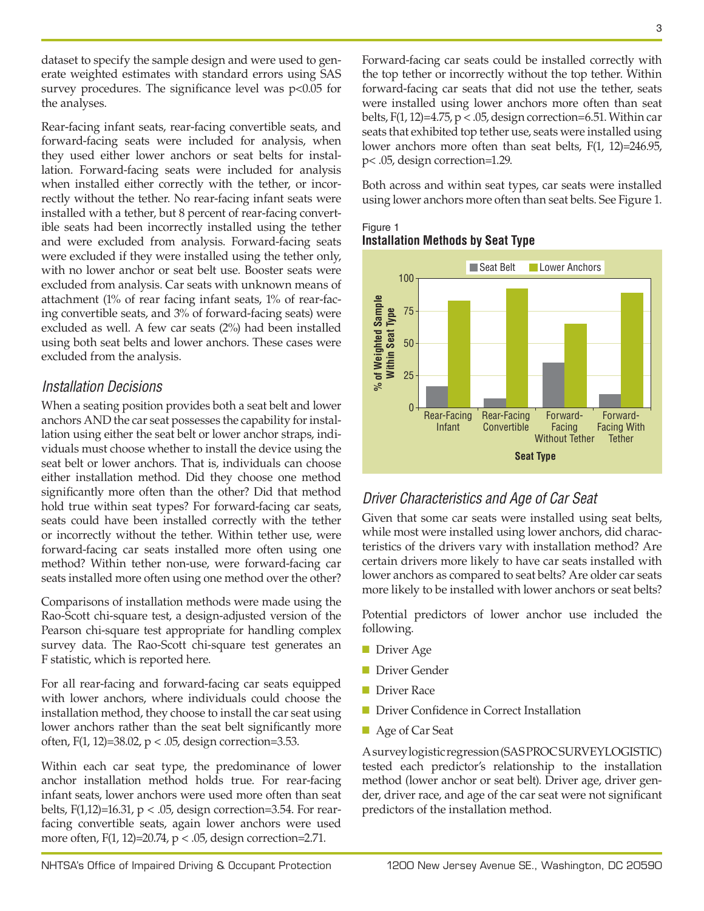dataset to specify the sample design and were used to generate weighted estimates with standard errors using SAS survey procedures. The significance level was p<0.05 for the analyses.

Rear-facing infant seats, rear-facing convertible seats, and forward-facing seats were included for analysis, when they used either lower anchors or seat belts for installation. Forward-facing seats were included for analysis when installed either correctly with the tether, or incorrectly without the tether. No rear-facing infant seats were installed with a tether, but 8 percent of rear-facing convertible seats had been incorrectly installed using the tether and were excluded from analysis. Forward-facing seats were excluded if they were installed using the tether only, with no lower anchor or seat belt use. Booster seats were excluded from analysis. Car seats with unknown means of attachment (1% of rear facing infant seats, 1% of rear-facing convertible seats, and 3% of forward-facing seats) were excluded as well. A few car seats (2%) had been installed using both seat belts and lower anchors. These cases were excluded from the analysis.

## *Installation Decisions*

When a seating position provides both a seat belt and lower anchors AND the car seat possesses the capability for installation using either the seat belt or lower anchor straps, individuals must choose whether to install the device using the seat belt or lower anchors. That is, individuals can choose either installation method. Did they choose one method significantly more often than the other? Did that method hold true within seat types? For forward-facing car seats, seats could have been installed correctly with the tether or incorrectly without the tether. Within tether use, were forward-facing car seats installed more often using one method? Within tether non-use, were forward-facing car seats installed more often using one method over the other?

Comparisons of installation methods were made using the Rao-Scott chi-square test, a design-adjusted version of the Pearson chi-square test appropriate for handling complex survey data. The Rao-Scott chi-square test generates an F statistic, which is reported here.

For all rear-facing and forward-facing car seats equipped with lower anchors, where individuals could choose the installation method, they choose to install the car seat using lower anchors rather than the seat belt significantly more often,  $F(1, 12)=38.02$ ,  $p < .05$ , design correction=3.53.

Within each car seat type, the predominance of lower anchor installation method holds true. For rear-facing infant seats, lower anchors were used more often than seat belts,  $F(1,12)=16.31$ ,  $p < .05$ , design correction=3.54. For rearfacing convertible seats, again lower anchors were used more often,  $F(1, 12)=20.74$ ,  $p < .05$ , design correction=2.71.

Forward-facing car seats could be installed correctly with the top tether or incorrectly without the top tether. Within forward-facing car seats that did not use the tether, seats were installed using lower anchors more often than seat belts,  $F(1, 12)=4.75$ ,  $p < .05$ , design correction=6.51. Within car seats that exhibited top tether use, seats were installed using lower anchors more often than seat belts, F(1, 12)=246.95, p< .05, design correction=1.29.

Both across and within seat types, car seats were installed using lower anchors more often than seat belts. See Figure 1.

#### Figure 1 **Installation Methods by Seat Type**



# *Driver Characteristics and Age of Car Seat*

Given that some car seats were installed using seat belts, while most were installed using lower anchors, did characteristics of the drivers vary with installation method? Are certain drivers more likely to have car seats installed with lower anchors as compared to seat belts? Are older car seats more likely to be installed with lower anchors or seat belts?

Potential predictors of lower anchor use included the following.

- Driver Age
- Driver Gender
- Driver Race
- Driver Confidence in Correct Installation
- Age of Car Seat

A survey logistic regression (SAS PROC SURVEYLOGISTIC) tested each predictor's relationship to the installation method (lower anchor or seat belt). Driver age, driver gender, driver race, and age of the car seat were not significant predictors of the installation method.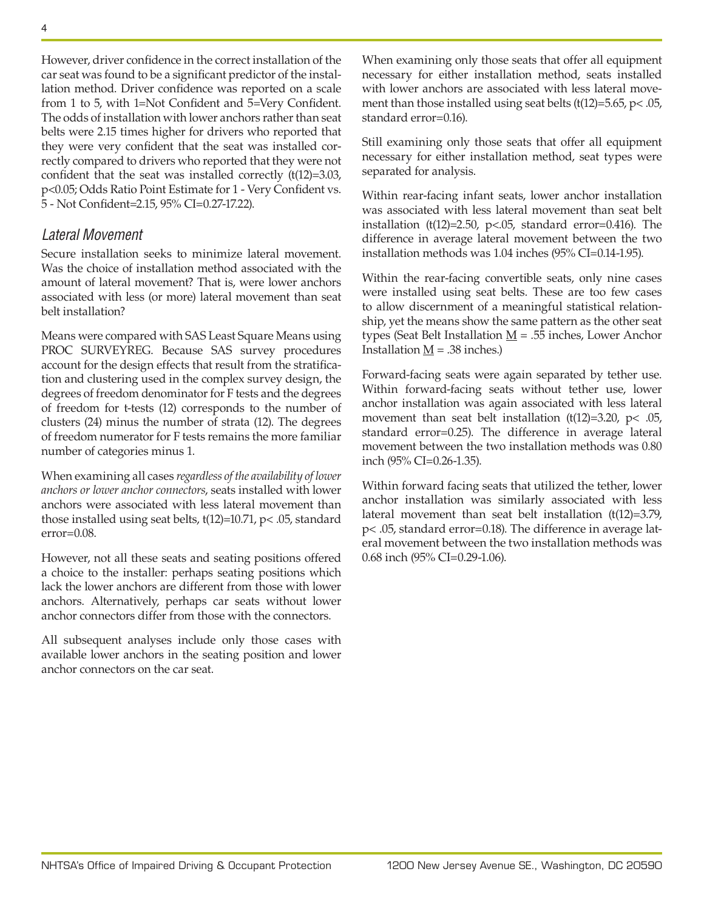However, driver confidence in the correct installation of the car seat was found to be a significant predictor of the installation method. Driver confidence was reported on a scale from 1 to 5, with 1=Not Confident and 5=Very Confident. The odds of installation with lower anchors rather than seat belts were 2.15 times higher for drivers who reported that they were very confident that the seat was installed correctly compared to drivers who reported that they were not confident that the seat was installed correctly (t(12)=3.03, p<0.05; Odds Ratio Point Estimate for 1 - Very Confident vs. 5 - Not Confident=2.15, 95% CI=0.27-17.22).

#### *Lateral Movement*

Secure installation seeks to minimize lateral movement. Was the choice of installation method associated with the amount of lateral movement? That is, were lower anchors associated with less (or more) lateral movement than seat belt installation?

Means were compared with SAS Least Square Means using PROC SURVEYREG. Because SAS survey procedures account for the design effects that result from the stratification and clustering used in the complex survey design, the degrees of freedom denominator for F tests and the degrees of freedom for t-tests (12) corresponds to the number of clusters (24) minus the number of strata (12). The degrees of freedom numerator for F tests remains the more familiar number of categories minus 1.

When examining all cases *regardless of the availability of lower anchors or lower anchor connectors*, seats installed with lower anchors were associated with less lateral movement than those installed using seat belts, t(12)=10.71, p< .05, standard error=0.08.

However, not all these seats and seating positions offered a choice to the installer: perhaps seating positions which lack the lower anchors are different from those with lower anchors. Alternatively, perhaps car seats without lower anchor connectors differ from those with the connectors.

All subsequent analyses include only those cases with available lower anchors in the seating position and lower anchor connectors on the car seat.

When examining only those seats that offer all equipment necessary for either installation method, seats installed with lower anchors are associated with less lateral movement than those installed using seat belts (t(12)=5.65, p< .05, standard error=0.16).

Still examining only those seats that offer all equipment necessary for either installation method, seat types were separated for analysis.

Within rear-facing infant seats, lower anchor installation was associated with less lateral movement than seat belt installation (t(12)=2.50,  $p<0.05$ , standard error=0.416). The difference in average lateral movement between the two installation methods was 1.04 inches (95% CI=0.14-1.95).

Within the rear-facing convertible seats, only nine cases were installed using seat belts. These are too few cases to allow discernment of a meaningful statistical relationship, yet the means show the same pattern as the other seat types (Seat Belt Installation  $\underline{M}$  = .55 inches, Lower Anchor Installation  $M = .38$  inches.)

Forward-facing seats were again separated by tether use. Within forward-facing seats without tether use, lower anchor installation was again associated with less lateral movement than seat belt installation (t(12)=3.20, p< .05, standard error=0.25). The difference in average lateral movement between the two installation methods was 0.80 inch (95% CI=0.26-1.35).

Within forward facing seats that utilized the tether, lower anchor installation was similarly associated with less lateral movement than seat belt installation (t(12)=3.79, p< .05, standard error=0.18). The difference in average lateral movement between the two installation methods was 0.68 inch (95% CI=0.29-1.06).